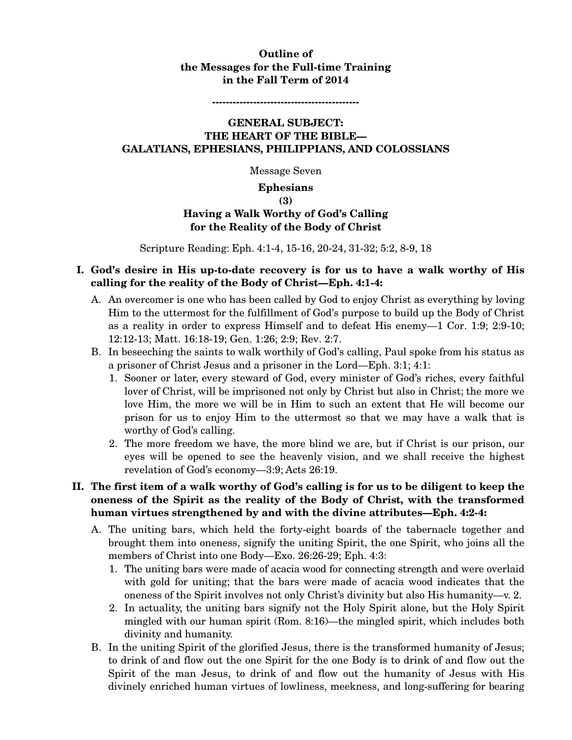### **Outline of the Messages for the Full-time Training in the Fall Term of 2014**

**-------------------------------------------** 

#### **GENERAL SUBJECT: THE HEART OF THE BIBLE— GALATIANS, EPHESIANS, PHILIPPIANS, AND COLOSSIANS**

Message Seven

#### **Ephesians**

**(3)** 

# **Having a Walk Worthy of God's Calling for the Reality of the Body of Christ**

Scripture Reading: Eph. 4:1-4, 15-16, 20-24, 31-32; 5:2, 8-9, 18

### **I. God's desire in His up-to-date recovery is for us to have a walk worthy of His calling for the reality of the Body of Christ—Eph. 4:1-4:**

- A. An overcomer is one who has been called by God to enjoy Christ as everything by loving Him to the uttermost for the fulfillment of God's purpose to build up the Body of Christ as a reality in order to express Himself and to defeat His enemy—1 Cor. 1:9; 2:9-10; 12:12-13; Matt. 16:18-19; Gen. 1:26; 2:9; Rev. 2:7.
- B. In beseeching the saints to walk worthily of God's calling, Paul spoke from his status as a prisoner of Christ Jesus and a prisoner in the Lord—Eph. 3:1; 4:1:
	- 1. Sooner or later, every steward of God, every minister of God's riches, every faithful lover of Christ, will be imprisoned not only by Christ but also in Christ; the more we love Him, the more we will be in Him to such an extent that He will become our prison for us to enjoy Him to the uttermost so that we may have a walk that is worthy of God's calling.
	- 2. The more freedom we have, the more blind we are, but if Christ is our prison, our eyes will be opened to see the heavenly vision, and we shall receive the highest revelation of God's economy—3:9; Acts 26:19.

### **II. The first item of a walk worthy of God's calling is for us to be diligent to keep the oneness of the Spirit as the reality of the Body of Christ, with the transformed human virtues strengthened by and with the divine attributes—Eph. 4:2-4:**

- A. The uniting bars, which held the forty-eight boards of the tabernacle together and brought them into oneness, signify the uniting Spirit, the one Spirit, who joins all the members of Christ into one Body—Exo. 26:26-29; Eph. 4:3:
	- 1. The uniting bars were made of acacia wood for connecting strength and were overlaid with gold for uniting; that the bars were made of acacia wood indicates that the oneness of the Spirit involves not only Christ's divinity but also His humanity—v. 2.
	- 2. In actuality, the uniting bars signify not the Holy Spirit alone, but the Holy Spirit mingled with our human spirit (Rom. 8:16)—the mingled spirit, which includes both divinity and humanity.
- B. In the uniting Spirit of the glorified Jesus, there is the transformed humanity of Jesus; to drink of and flow out the one Spirit for the one Body is to drink of and flow out the Spirit of the man Jesus, to drink of and flow out the humanity of Jesus with His divinely enriched human virtues of lowliness, meekness, and long-suffering for bearing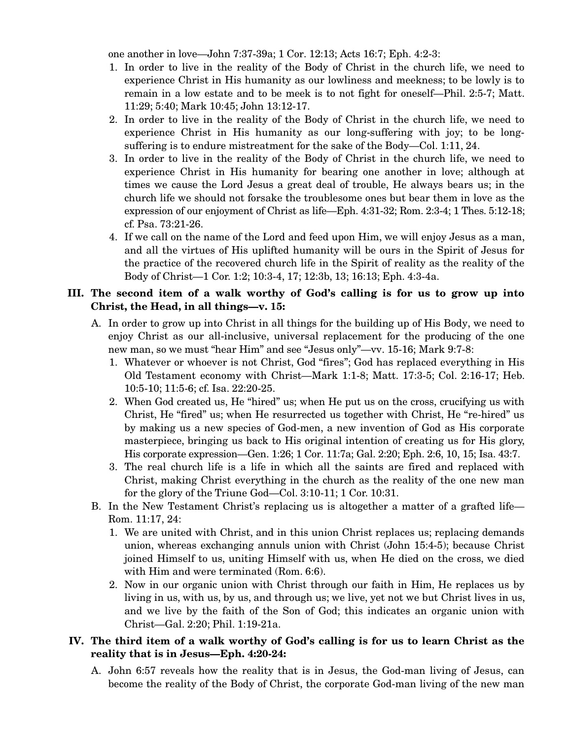one another in love—John 7:37-39a; 1 Cor. 12:13; Acts 16:7; Eph. 4:2-3:

- 1. In order to live in the reality of the Body of Christ in the church life, we need to experience Christ in His humanity as our lowliness and meekness; to be lowly is to remain in a low estate and to be meek is to not fight for oneself—Phil. 2:5-7; Matt. 11:29; 5:40; Mark 10:45; John 13:12-17.
- 2. In order to live in the reality of the Body of Christ in the church life, we need to experience Christ in His humanity as our long-suffering with joy; to be longsuffering is to endure mistreatment for the sake of the Body—Col. 1:11, 24.
- 3. In order to live in the reality of the Body of Christ in the church life, we need to experience Christ in His humanity for bearing one another in love; although at times we cause the Lord Jesus a great deal of trouble, He always bears us; in the church life we should not forsake the troublesome ones but bear them in love as the expression of our enjoyment of Christ as life—Eph. 4:31-32; Rom. 2:3-4; 1 Thes. 5:12-18; cf. Psa. 73:21-26.
- 4. If we call on the name of the Lord and feed upon Him, we will enjoy Jesus as a man, and all the virtues of His uplifted humanity will be ours in the Spirit of Jesus for the practice of the recovered church life in the Spirit of reality as the reality of the Body of Christ—1 Cor. 1:2; 10:3-4, 17; 12:3b, 13; 16:13; Eph. 4:3-4a.

#### **III. The second item of a walk worthy of God's calling is for us to grow up into Christ, the Head, in all things—v. 15:**

- A. In order to grow up into Christ in all things for the building up of His Body, we need to enjoy Christ as our all-inclusive, universal replacement for the producing of the one new man, so we must "hear Him" and see "Jesus only"—vv. 15-16; Mark 9:7-8:
	- 1. Whatever or whoever is not Christ, God "fires"; God has replaced everything in His Old Testament economy with Christ—Mark 1:1-8; Matt. 17:3-5; Col. 2:16-17; Heb. 10:5-10; 11:5-6; cf. Isa. 22:20-25.
	- 2. When God created us, He "hired" us; when He put us on the cross, crucifying us with Christ, He "fired" us; when He resurrected us together with Christ, He "re-hired" us by making us a new species of God-men, a new invention of God as His corporate masterpiece, bringing us back to His original intention of creating us for His glory, His corporate expression—Gen. 1:26; 1 Cor. 11:7a; Gal. 2:20; Eph. 2:6, 10, 15; Isa. 43:7.
	- 3. The real church life is a life in which all the saints are fired and replaced with Christ, making Christ everything in the church as the reality of the one new man for the glory of the Triune God—Col. 3:10-11; 1 Cor. 10:31.
- B. In the New Testament Christ's replacing us is altogether a matter of a grafted life— Rom. 11:17, 24:
	- 1. We are united with Christ, and in this union Christ replaces us; replacing demands union, whereas exchanging annuls union with Christ (John 15:4-5); because Christ joined Himself to us, uniting Himself with us, when He died on the cross, we died with Him and were terminated (Rom. 6:6).
	- 2. Now in our organic union with Christ through our faith in Him, He replaces us by living in us, with us, by us, and through us; we live, yet not we but Christ lives in us, and we live by the faith of the Son of God; this indicates an organic union with Christ—Gal. 2:20; Phil. 1:19-21a.

### **IV. The third item of a walk worthy of God's calling is for us to learn Christ as the reality that is in Jesus—Eph. 4:20-24:**

A. John 6:57 reveals how the reality that is in Jesus, the God-man living of Jesus, can become the reality of the Body of Christ, the corporate God-man living of the new man